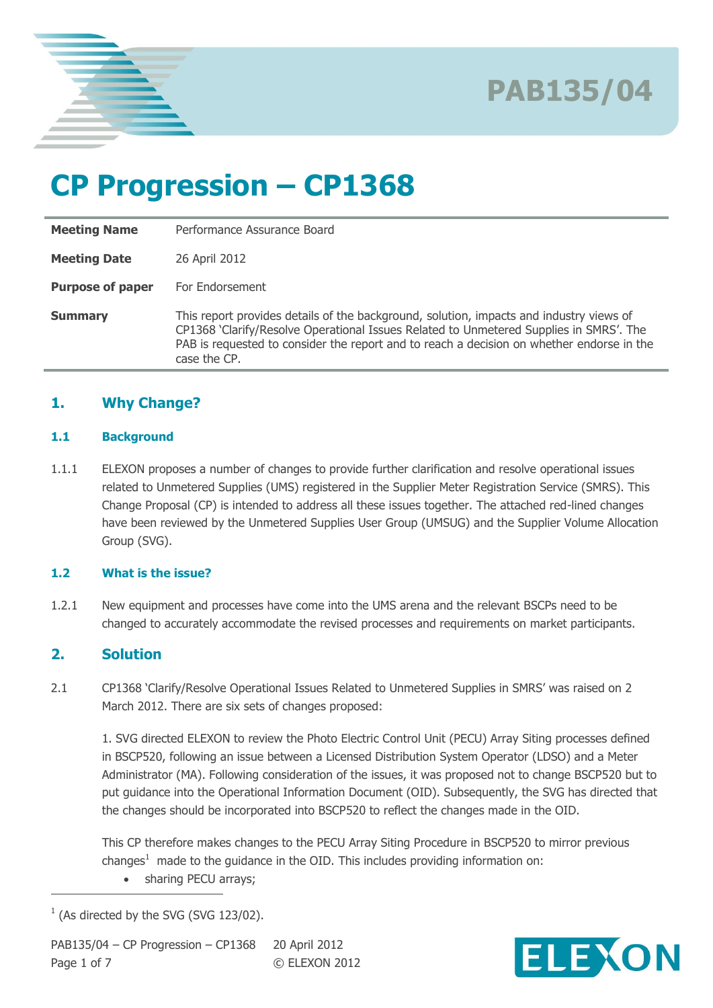

### **CP Progression – CP1368**

| <b>Meeting Name</b>     | Performance Assurance Board                                                                                                                                                                                                                                                                    |  |  |
|-------------------------|------------------------------------------------------------------------------------------------------------------------------------------------------------------------------------------------------------------------------------------------------------------------------------------------|--|--|
| <b>Meeting Date</b>     | 26 April 2012                                                                                                                                                                                                                                                                                  |  |  |
| <b>Purpose of paper</b> | For Endorsement                                                                                                                                                                                                                                                                                |  |  |
| <b>Summary</b>          | This report provides details of the background, solution, impacts and industry views of<br>CP1368 'Clarify/Resolve Operational Issues Related to Unmetered Supplies in SMRS'. The<br>PAB is requested to consider the report and to reach a decision on whether endorse in the<br>case the CP. |  |  |

### **1. Why Change?**

#### **1.1 Background**

1.1.1 ELEXON proposes a number of changes to provide further clarification and resolve operational issues related to Unmetered Supplies (UMS) registered in the Supplier Meter Registration Service (SMRS). This Change Proposal (CP) is intended to address all these issues together. The attached red-lined changes have been reviewed by the Unmetered Supplies User Group (UMSUG) and the Supplier Volume Allocation Group (SVG).

#### **1.2 What is the issue?**

1.2.1 New equipment and processes have come into the UMS arena and the relevant BSCPs need to be changed to accurately accommodate the revised processes and requirements on market participants.

### **2. Solution**

 $\overline{a}$ 

2.1 CP1368 'Clarify/Resolve Operational Issues Related to Unmetered Supplies in SMRS' was raised on 2 March 2012. There are six sets of changes proposed:

1. SVG directed ELEXON to review the Photo Electric Control Unit (PECU) Array Siting processes defined in BSCP520, following an issue between a Licensed Distribution System Operator (LDSO) and a Meter Administrator (MA). Following consideration of the issues, it was proposed not to change BSCP520 but to put guidance into the Operational Information Document (OID). Subsequently, the SVG has directed that the changes should be incorporated into BSCP520 to reflect the changes made in the OID.

This CP therefore makes changes to the PECU Array Siting Procedure in BSCP520 to mirror previous changes<sup>1</sup> made to the guidance in the OID. This includes providing information on:

• sharing PECU arrays;



 $1$  (As directed by the SVG (SVG 123/02).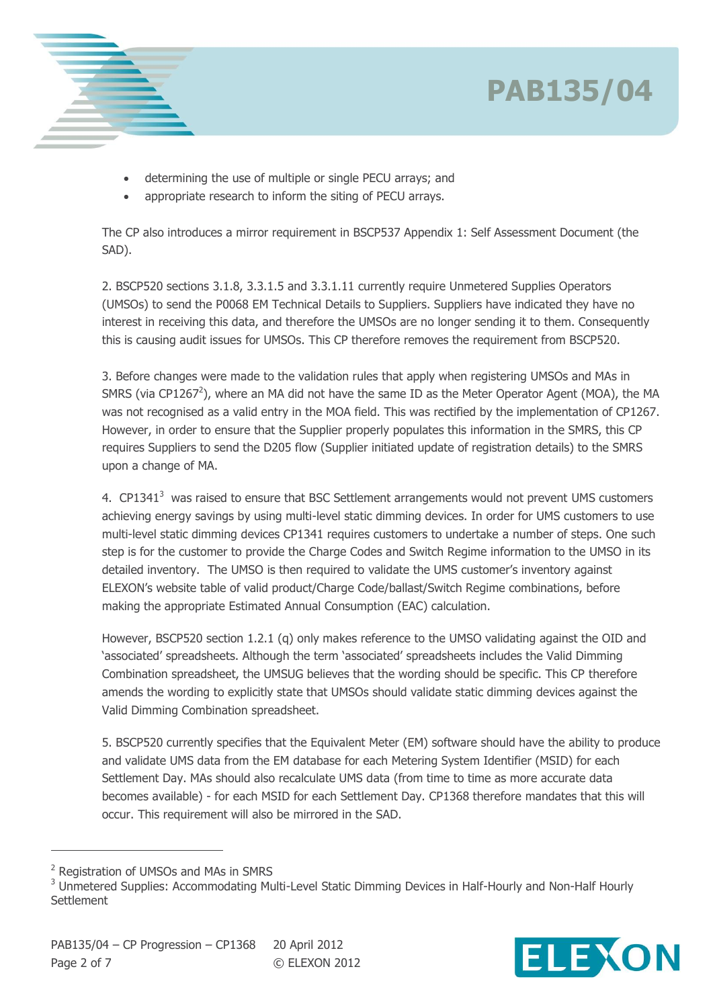



- determining the use of multiple or single PECU arrays; and
- appropriate research to inform the siting of PECU arrays.

The CP also introduces a mirror requirement in BSCP537 Appendix 1: Self Assessment Document (the SAD).

2. BSCP520 sections 3.1.8, 3.3.1.5 and 3.3.1.11 currently require Unmetered Supplies Operators (UMSOs) to send the P0068 EM Technical Details to Suppliers. Suppliers have indicated they have no interest in receiving this data, and therefore the UMSOs are no longer sending it to them. Consequently this is causing audit issues for UMSOs. This CP therefore removes the requirement from BSCP520.

3. Before changes were made to the validation rules that apply when registering UMSOs and MAs in SMRS (via CP1267<sup>2</sup>), where an MA did not have the same ID as the Meter Operator Agent (MOA), the MA was not recognised as a valid entry in the MOA field. This was rectified by the implementation of CP1267. However, in order to ensure that the Supplier properly populates this information in the SMRS, this CP requires Suppliers to send the D205 flow (Supplier initiated update of registration details) to the SMRS upon a change of MA.

4.  $CP1341<sup>3</sup>$  was raised to ensure that BSC Settlement arrangements would not prevent UMS customers achieving energy savings by using multi-level static dimming devices. In order for UMS customers to use multi-level static dimming devices CP1341 requires customers to undertake a number of steps. One such step is for the customer to provide the Charge Codes and Switch Regime information to the UMSO in its detailed inventory. The UMSO is then required to validate the UMS customer's inventory against ELEXON's website table of valid product/Charge Code/ballast/Switch Regime combinations, before making the appropriate Estimated Annual Consumption (EAC) calculation.

However, BSCP520 section 1.2.1 (q) only makes reference to the UMSO validating against the OID and 'associated' spreadsheets. Although the term 'associated' spreadsheets includes the Valid Dimming Combination spreadsheet, the UMSUG believes that the wording should be specific. This CP therefore amends the wording to explicitly state that UMSOs should validate static dimming devices against the Valid Dimming Combination spreadsheet.

5. BSCP520 currently specifies that the Equivalent Meter (EM) software should have the ability to produce and validate UMS data from the EM database for each Metering System Identifier (MSID) for each Settlement Day. MAs should also recalculate UMS data (from time to time as more accurate data becomes available) - for each MSID for each Settlement Day. CP1368 therefore mandates that this will occur. This requirement will also be mirrored in the SAD.

 $\overline{a}$ 



<sup>2</sup> Registration of UMSOs and MAs in SMRS

<sup>&</sup>lt;sup>3</sup> Unmetered Supplies: Accommodating Multi-Level Static Dimming Devices in Half-Hourly and Non-Half Hourly **Settlement**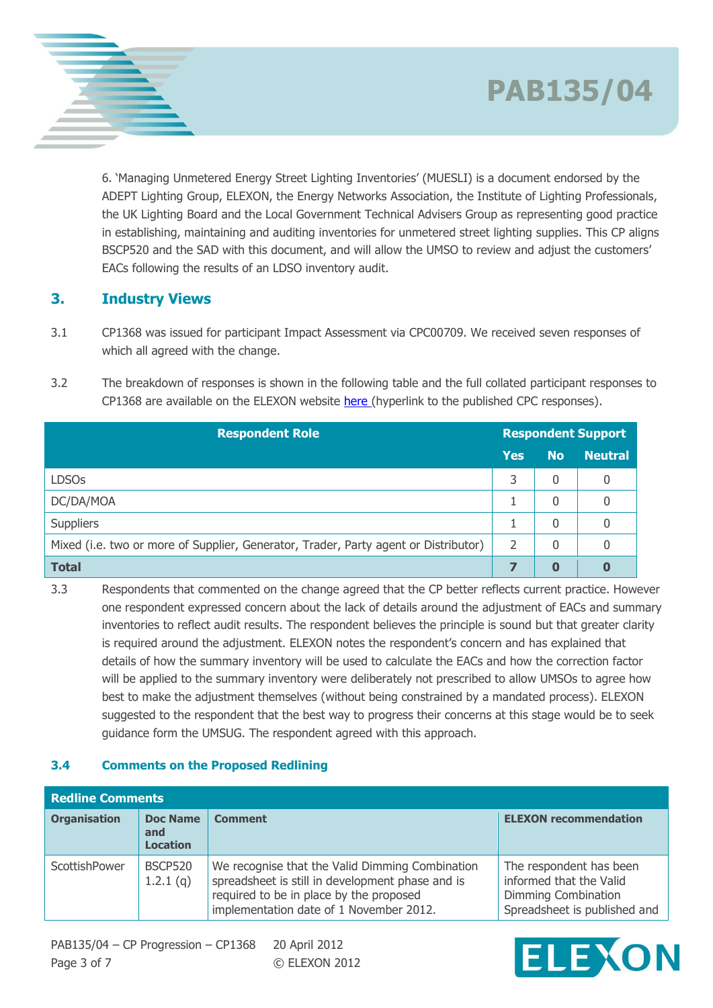6. 'Managing Unmetered Energy Street Lighting Inventories' (MUESLI) is a document endorsed by the ADEPT Lighting Group, ELEXON, the Energy Networks Association, the Institute of Lighting Professionals, the UK Lighting Board and the Local Government Technical Advisers Group as representing good practice in establishing, maintaining and auditing inventories for unmetered street lighting supplies. This CP aligns BSCP520 and the SAD with this document, and will allow the UMSO to review and adjust the customers' EACs following the results of an LDSO inventory audit.

### **3. Industry Views**

- 3.1 CP1368 was issued for participant Impact Assessment via CPC00709. We received seven responses of which all agreed with the change.
- 3.2 The breakdown of responses is shown in the following table and the full collated participant responses to CP1368 are available on the ELEXON website here (hyperlink to the published CPC responses).

| <b>Respondent Role</b>                                                              |            | <b>Respondent Support</b> |                |  |
|-------------------------------------------------------------------------------------|------------|---------------------------|----------------|--|
|                                                                                     | <b>Yes</b> | <b>No</b>                 | <b>Neutral</b> |  |
| <b>LDSOs</b>                                                                        | 3          | 0                         | 0              |  |
| DC/DA/MOA                                                                           |            | 0                         |                |  |
| <b>Suppliers</b>                                                                    |            | $\Omega$                  | 0              |  |
| Mixed (i.e. two or more of Supplier, Generator, Trader, Party agent or Distributor) | 2          | 0                         | 0              |  |
| <b>Total</b>                                                                        |            | $\bf{0}$                  | 0              |  |

3.3 Respondents that commented on the change agreed that the CP better reflects current practice. However one respondent expressed concern about the lack of details around the adjustment of EACs and summary inventories to reflect audit results. The respondent believes the principle is sound but that greater clarity is required around the adjustment. ELEXON notes the respondent's concern and has explained that details of how the summary inventory will be used to calculate the EACs and how the correction factor will be applied to the summary inventory were deliberately not prescribed to allow UMSOs to agree how best to make the adjustment themselves (without being constrained by a mandated process). ELEXON suggested to the respondent that the best way to progress their concerns at this stage would be to seek guidance form the UMSUG. The respondent agreed with this approach.

### **3.4 Comments on the Proposed Redlining**

| <b>Redline Comments</b> |                                           |                                                                                                                                                                                           |                                                                                                           |
|-------------------------|-------------------------------------------|-------------------------------------------------------------------------------------------------------------------------------------------------------------------------------------------|-----------------------------------------------------------------------------------------------------------|
| <b>Organisation</b>     | <b>Doc Name</b><br>and<br><b>Location</b> | <b>Comment</b>                                                                                                                                                                            | <b>ELEXON recommendation</b>                                                                              |
| ScottishPower           | <b>BSCP520</b><br>1.2.1(q)                | We recognise that the Valid Dimming Combination<br>spreadsheet is still in development phase and is<br>required to be in place by the proposed<br>implementation date of 1 November 2012. | The respondent has been<br>informed that the Valid<br>Dimming Combination<br>Spreadsheet is published and |

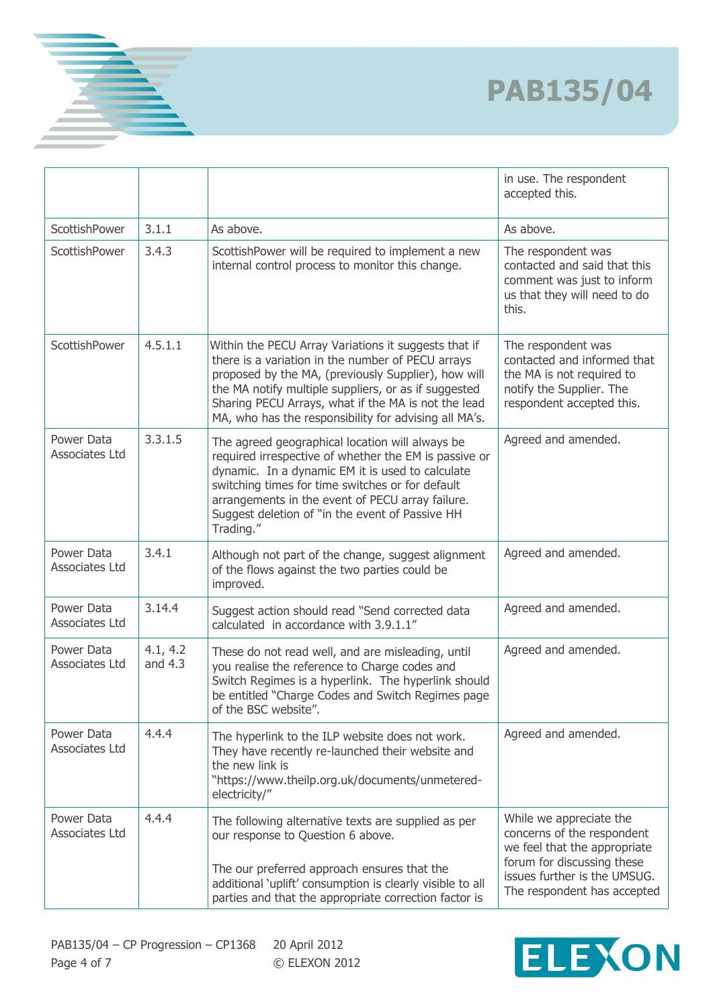|                                     |                       |                                                                                                                                                                                                                                                                                                                                          | in use. The respondent<br>accepted this.                                                                                                                                           |
|-------------------------------------|-----------------------|------------------------------------------------------------------------------------------------------------------------------------------------------------------------------------------------------------------------------------------------------------------------------------------------------------------------------------------|------------------------------------------------------------------------------------------------------------------------------------------------------------------------------------|
| ScottishPower                       | 3.1.1                 | As above.                                                                                                                                                                                                                                                                                                                                | As above.                                                                                                                                                                          |
| ScottishPower                       | 3.4.3                 | ScottishPower will be required to implement a new<br>internal control process to monitor this change.                                                                                                                                                                                                                                    | The respondent was<br>contacted and said that this<br>comment was just to inform<br>us that they will need to do<br>this.                                                          |
| ScottishPower                       | 4.5.1.1               | Within the PECU Array Variations it suggests that if<br>there is a variation in the number of PECU arrays<br>proposed by the MA, (previously Supplier), how will<br>the MA notify multiple suppliers, or as if suggested<br>Sharing PECU Arrays, what if the MA is not the lead<br>MA, who has the responsibility for advising all MA's. | The respondent was<br>contacted and informed that<br>the MA is not required to<br>notify the Supplier. The<br>respondent accepted this.                                            |
| Power Data<br><b>Associates Ltd</b> | 3.3.1.5               | The agreed geographical location will always be<br>required irrespective of whether the EM is passive or<br>dynamic. In a dynamic EM it is used to calculate<br>switching times for time switches or for default<br>arrangements in the event of PECU array failure.<br>Suggest deletion of "in the event of Passive HH<br>Trading."     | Agreed and amended.                                                                                                                                                                |
| Power Data<br>Associates Ltd        | 3.4.1                 | Although not part of the change, suggest alignment<br>of the flows against the two parties could be<br>improved.                                                                                                                                                                                                                         | Agreed and amended.                                                                                                                                                                |
| Power Data<br>Associates Ltd        | 3.14.4                | Suggest action should read "Send corrected data<br>calculated in accordance with 3.9.1.1"                                                                                                                                                                                                                                                | Agreed and amended.                                                                                                                                                                |
| Power Data<br>Associates Ltd        | 4.1, 4.2<br>and $4.3$ | These do not read well, and are misleading, until<br>you realise the reference to Charge codes and<br>Switch Regimes is a hyperlink. The hyperlink should<br>be entitled "Charge Codes and Switch Regimes page<br>of the BSC website".                                                                                                   | Agreed and amended.                                                                                                                                                                |
| Power Data<br>Associates Ltd        | 4.4.4                 | The hyperlink to the ILP website does not work.<br>They have recently re-launched their website and<br>the new link is<br>"https://www.theilp.org.uk/documents/unmetered-<br>electricity/"                                                                                                                                               | Agreed and amended.                                                                                                                                                                |
| Power Data<br>Associates Ltd        | 4.4.4                 | The following alternative texts are supplied as per<br>our response to Question 6 above.<br>The our preferred approach ensures that the<br>additional 'uplift' consumption is clearly visible to all<br>parties and that the appropriate correction factor is                                                                            | While we appreciate the<br>concerns of the respondent<br>we feel that the appropriate<br>forum for discussing these<br>issues further is the UMSUG.<br>The respondent has accepted |

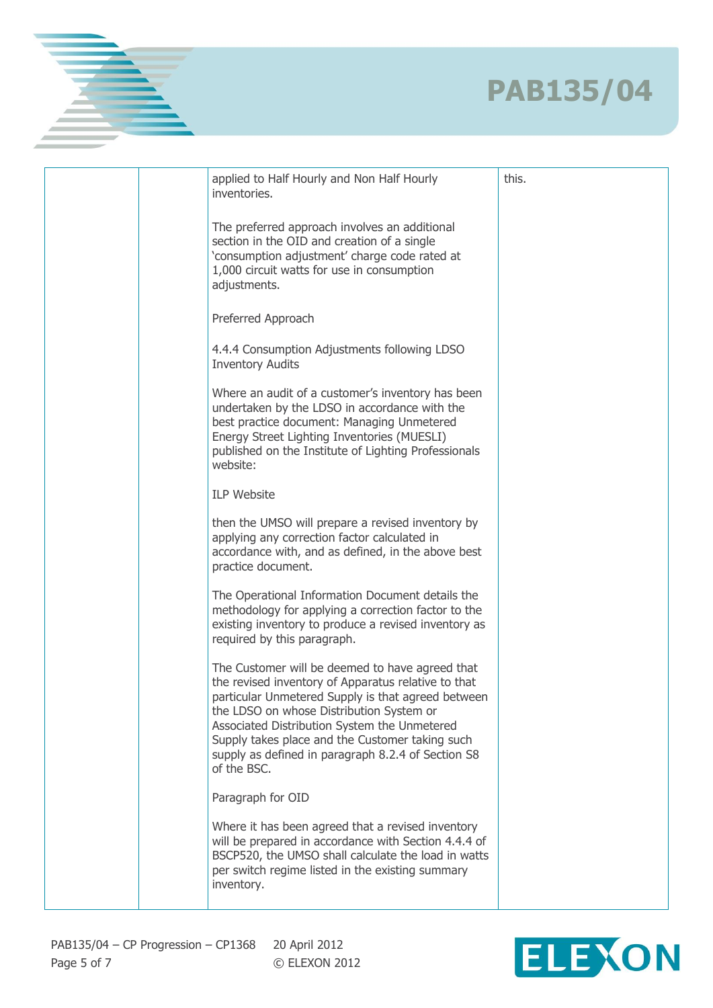|  | applied to Half Hourly and Non Half Hourly<br>inventories.                                                                                                                                                                                                                                                                                                                       | this. |
|--|----------------------------------------------------------------------------------------------------------------------------------------------------------------------------------------------------------------------------------------------------------------------------------------------------------------------------------------------------------------------------------|-------|
|  | The preferred approach involves an additional<br>section in the OID and creation of a single<br>'consumption adjustment' charge code rated at<br>1,000 circuit watts for use in consumption<br>adjustments.                                                                                                                                                                      |       |
|  | Preferred Approach                                                                                                                                                                                                                                                                                                                                                               |       |
|  | 4.4.4 Consumption Adjustments following LDSO<br><b>Inventory Audits</b>                                                                                                                                                                                                                                                                                                          |       |
|  | Where an audit of a customer's inventory has been<br>undertaken by the LDSO in accordance with the<br>best practice document: Managing Unmetered<br>Energy Street Lighting Inventories (MUESLI)<br>published on the Institute of Lighting Professionals<br>website:                                                                                                              |       |
|  | <b>ILP Website</b>                                                                                                                                                                                                                                                                                                                                                               |       |
|  | then the UMSO will prepare a revised inventory by<br>applying any correction factor calculated in<br>accordance with, and as defined, in the above best<br>practice document.                                                                                                                                                                                                    |       |
|  | The Operational Information Document details the<br>methodology for applying a correction factor to the<br>existing inventory to produce a revised inventory as<br>required by this paragraph.                                                                                                                                                                                   |       |
|  | The Customer will be deemed to have agreed that<br>the revised inventory of Apparatus relative to that<br>particular Unmetered Supply is that agreed between<br>the LDSO on whose Distribution System or<br>Associated Distribution System the Unmetered<br>Supply takes place and the Customer taking such<br>supply as defined in paragraph 8.2.4 of Section S8<br>of the BSC. |       |
|  | Paragraph for OID                                                                                                                                                                                                                                                                                                                                                                |       |
|  | Where it has been agreed that a revised inventory<br>will be prepared in accordance with Section 4.4.4 of<br>BSCP520, the UMSO shall calculate the load in watts<br>per switch regime listed in the existing summary<br>inventory.                                                                                                                                               |       |
|  |                                                                                                                                                                                                                                                                                                                                                                                  |       |

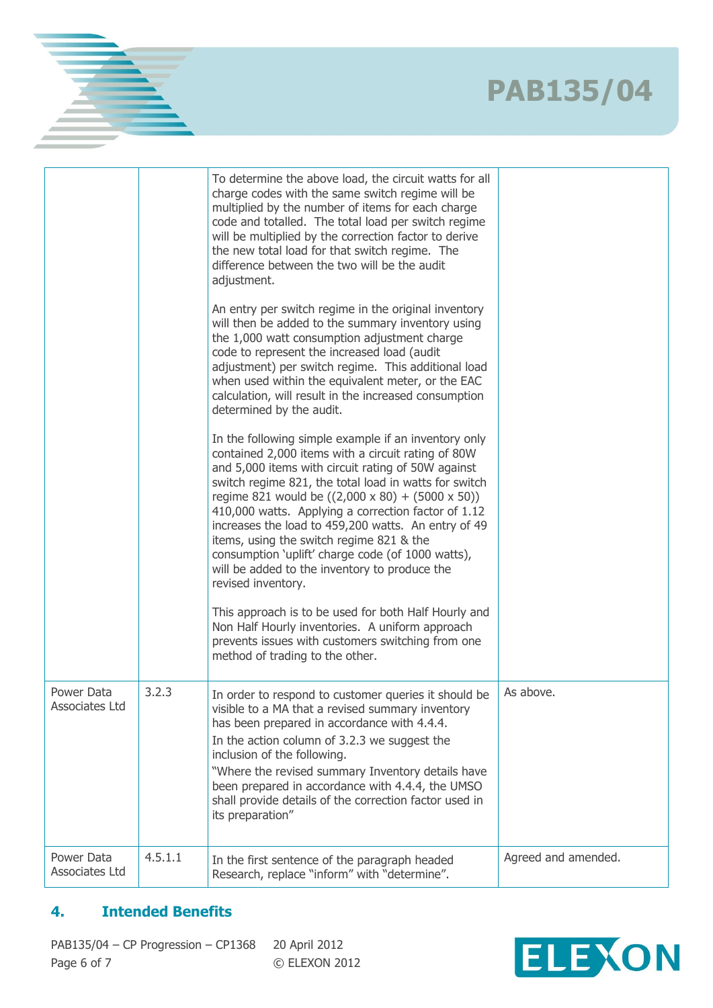|                              |         | To determine the above load, the circuit watts for all<br>charge codes with the same switch regime will be<br>multiplied by the number of items for each charge<br>code and totalled. The total load per switch regime<br>will be multiplied by the correction factor to derive<br>the new total load for that switch regime. The<br>difference between the two will be the audit<br>adjustment.                                                                                                                                                                                |                     |
|------------------------------|---------|---------------------------------------------------------------------------------------------------------------------------------------------------------------------------------------------------------------------------------------------------------------------------------------------------------------------------------------------------------------------------------------------------------------------------------------------------------------------------------------------------------------------------------------------------------------------------------|---------------------|
|                              |         | An entry per switch regime in the original inventory<br>will then be added to the summary inventory using<br>the 1,000 watt consumption adjustment charge<br>code to represent the increased load (audit<br>adjustment) per switch regime. This additional load<br>when used within the equivalent meter, or the EAC<br>calculation, will result in the increased consumption<br>determined by the audit.                                                                                                                                                                       |                     |
|                              |         | In the following simple example if an inventory only<br>contained 2,000 items with a circuit rating of 80W<br>and 5,000 items with circuit rating of 50W against<br>switch regime 821, the total load in watts for switch<br>regime 821 would be $((2,000 \times 80) + (5000 \times 50))$<br>410,000 watts. Applying a correction factor of 1.12<br>increases the load to 459,200 watts. An entry of 49<br>items, using the switch regime 821 & the<br>consumption 'uplift' charge code (of 1000 watts),<br>will be added to the inventory to produce the<br>revised inventory. |                     |
|                              |         | This approach is to be used for both Half Hourly and<br>Non Half Hourly inventories. A uniform approach<br>prevents issues with customers switching from one<br>method of trading to the other.                                                                                                                                                                                                                                                                                                                                                                                 |                     |
| Power Data<br>Associates Ltd | 3.2.3   | In order to respond to customer queries it should be<br>visible to a MA that a revised summary inventory<br>has been prepared in accordance with 4.4.4.<br>In the action column of 3.2.3 we suggest the<br>inclusion of the following.<br>"Where the revised summary Inventory details have<br>been prepared in accordance with 4.4.4, the UMSO<br>shall provide details of the correction factor used in<br>its preparation"                                                                                                                                                   | As above.           |
| Power Data<br>Associates Ltd | 4.5.1.1 | In the first sentence of the paragraph headed<br>Research, replace "inform" with "determine".                                                                                                                                                                                                                                                                                                                                                                                                                                                                                   | Agreed and amended. |

### **4. Intended Benefits**

PAB135/04 – CP Progression – CP1368 20 April 2012 Page 6 of 7 © ELEXON 2012